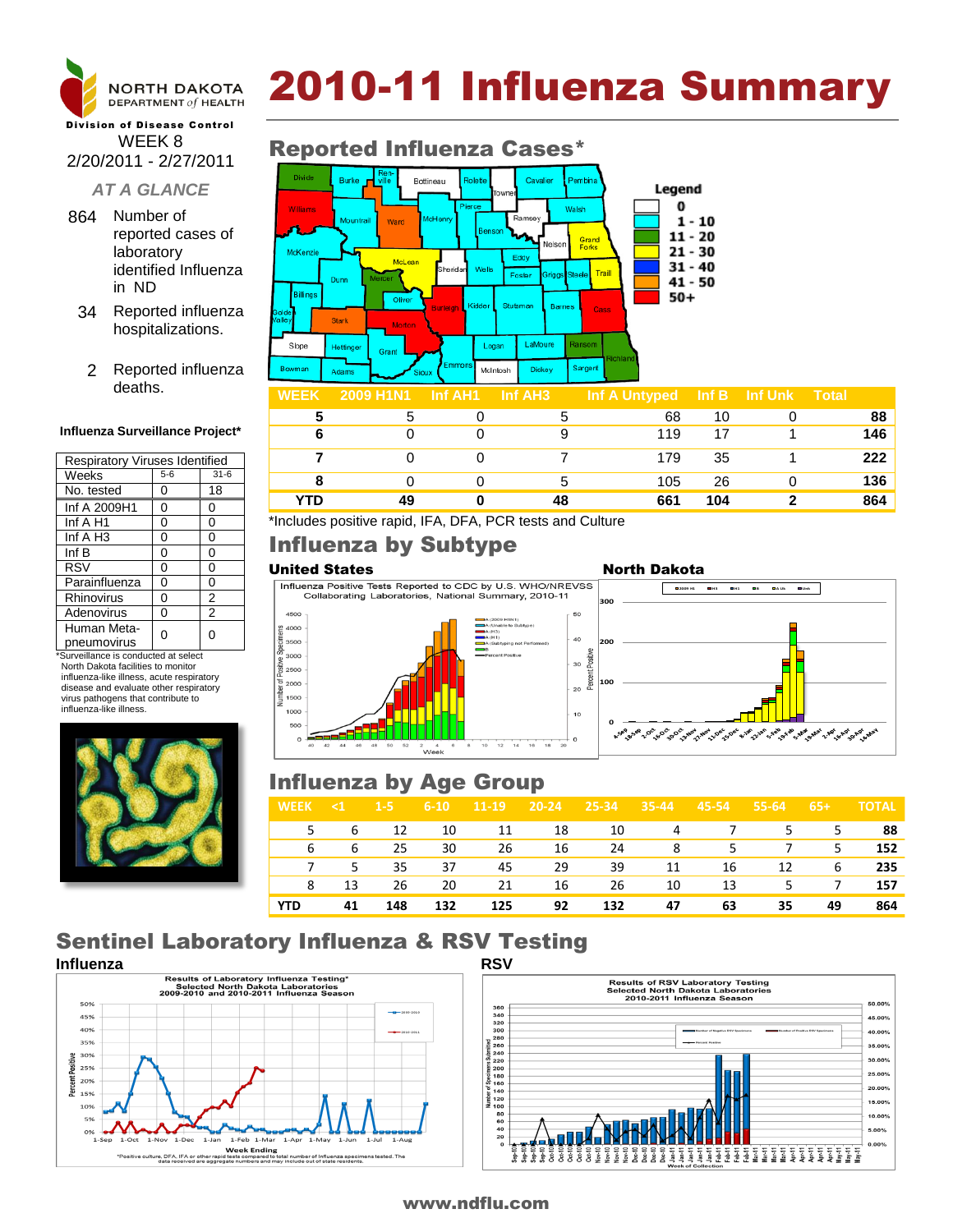

### Division of Disease Control WEEK 8 2/20/2011 - 2/27/2011

### *AT A GLANCE*

- 864 Number of reported cases of laboratory identified Influenza in ND
- 34 Reported influenza hospitalizations.
	- 2 Reported influenza deaths.

#### **Influenza Surveillance Project\***

| <b>Respiratory Viruses Identified</b> |       |                |  |  |  |  |
|---------------------------------------|-------|----------------|--|--|--|--|
| Weeks                                 | $5-6$ | $31 - 6$       |  |  |  |  |
| No. tested                            | 0     | 18             |  |  |  |  |
| Inf A 2009H1                          | 0     | 0              |  |  |  |  |
| Inf A H1                              | 0     | 0              |  |  |  |  |
| Inf A H <sub>3</sub>                  | 0     | 0              |  |  |  |  |
| Inf B                                 | 0     | 0              |  |  |  |  |
| <b>RSV</b>                            | 0     | 0              |  |  |  |  |
| Parainfluenza                         | 0     | 0              |  |  |  |  |
| Rhinovirus                            | 0     | 2              |  |  |  |  |
| Adenovirus                            | 0     | $\overline{2}$ |  |  |  |  |
| Human Meta-<br>pneumovirus            | ი     | ი              |  |  |  |  |

\*Surveillance is conducted at select North Dakota facilities to monitor influenza-like illness, acute respiratory disease and evaluate other respiratory virus pathogens that contribute to influenza-like illness.



# 2010-11 Influenza Summary

#### Divide Bott Cove Legend 0 **Walsh Mount More**  $1 - 10$  $11 - 20$  $21 - 30$ McKenz Eddy McLean  $31 - 40$ Mells Trail Foste **Dum**  $41 - 50$ .<br>Billings  $50+$ Oliver **Kidde** Barnes Stutsman Stark LaMo Slope Hettinge Logan **Grant** Bowma McIntosh Dicke) Adam **WEEK 2009 H1N1 Inf AH1 Inf AH3 Inf A Untyped Inf B Inf Unk Total**

|     |    |    | ____ |     |     |
|-----|----|----|------|-----|-----|
|     |    | b  | 68   | 10  | 88  |
| 6   |    | 9  | 119  | 17  | 146 |
|     |    |    | 179  | 35  | 222 |
|     |    | G  | 105  | 26  | 136 |
| YTD | 49 | 48 | 661  | 104 | 864 |

\*Includes positive rapid, IFA, DFA, PCR tests and Culture

## Influenza by Subtype

ηs

Specir

nber of Positive



## Influenza by Age Group

| <b>WEEK</b> | $\leq 1$       | $1 - 5$ | $6 - 10$ | $11-19$ | $20-24$ 25-34 |     | $35-44$        | 45-54          | 55-64 | $-65+$      | <b>TOTAL</b> |
|-------------|----------------|---------|----------|---------|---------------|-----|----------------|----------------|-------|-------------|--------------|
| 5.          | 6              | 12      | 10       | 11      | 18            | 10  | $\overline{4}$ | $\overline{7}$ |       | $-5$<br>5 - | 88           |
|             | 6              | 25      | 30       | 26      | 16            | 24  | -8             | 5.             | 7     | 5.          | 152          |
|             | 5 <sub>5</sub> | 35      | 37       | 45      | 29            | 39  | 11             | 16             | 12    | 6           | 235          |
| 8           | 13             | 26      | 20       | 21      | 16            | 26  | 10             | 13             | 5.    | 7           | 157          |
| <b>YTD</b>  | 41             | 148     | 132      | 125     | 92            | 132 | 47             | 63             | 35    | 49          | 864          |

## Sentinel Laboratory Influenza & RSV Testing





### Reported Influenza Cases\*

### www.ndflu.com